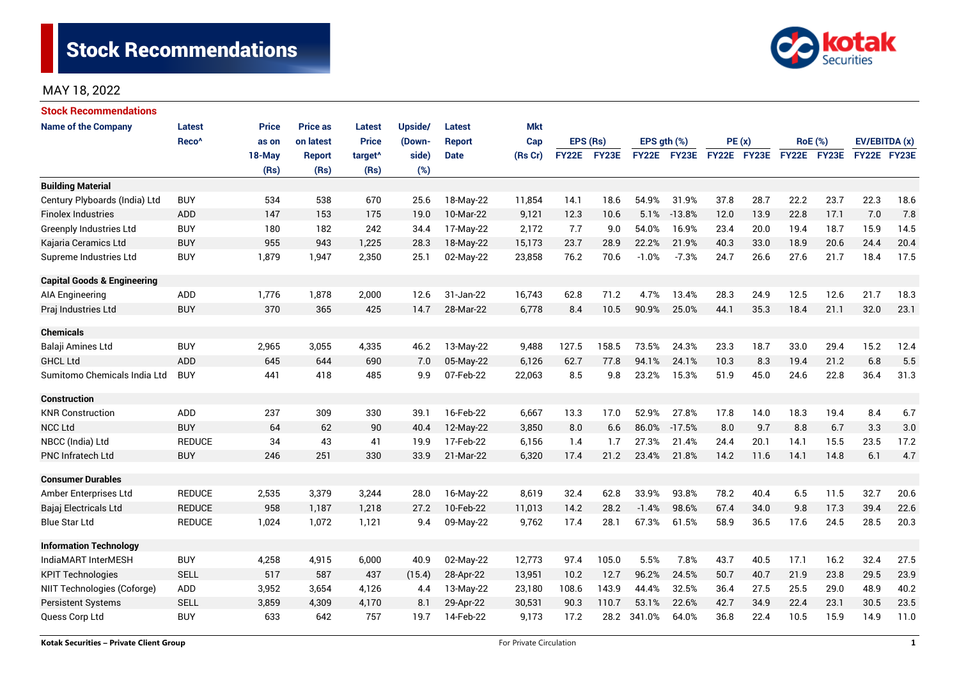

| <b>Stock Recommendations</b>           |                   |              |                 |                     |         |               |            |              |          |                  |             |             |      |             |                |               |      |
|----------------------------------------|-------------------|--------------|-----------------|---------------------|---------|---------------|------------|--------------|----------|------------------|-------------|-------------|------|-------------|----------------|---------------|------|
| <b>Name of the Company</b>             | <b>Latest</b>     | <b>Price</b> | <b>Price as</b> | <b>Latest</b>       | Upside/ | <b>Latest</b> | <b>Mkt</b> |              |          |                  |             |             |      |             |                |               |      |
|                                        | Reco <sup>^</sup> | as on        | on latest       | <b>Price</b>        | (Down-  | <b>Report</b> | Cap        |              | EPS (Rs) | EPS $qth$ $(\%)$ |             | PE(x)       |      |             | <b>RoE</b> (%) | EV/EBITDA (x) |      |
|                                        |                   | 18-May       | <b>Report</b>   | target <sup>^</sup> | side)   | <b>Date</b>   | (Rs Cr)    | <b>FY22E</b> | FY23E    |                  | FY22E FY23E | FY22E FY23E |      | FY22E FY23E |                | FY22E FY23E   |      |
|                                        |                   | (Rs)         | (Rs)            | (Rs)                | (%)     |               |            |              |          |                  |             |             |      |             |                |               |      |
| <b>Building Material</b>               |                   |              |                 |                     |         |               |            |              |          |                  |             |             |      |             |                |               |      |
| Century Plyboards (India) Ltd          | <b>BUY</b>        | 534          | 538             | 670                 | 25.6    | 18-May-22     | 11,854     | 14.1         | 18.6     | 54.9%            | 31.9%       | 37.8        | 28.7 | 22.2        | 23.7           | 22.3          | 18.6 |
| <b>Finolex Industries</b>              | <b>ADD</b>        | 147          | 153             | 175                 | 19.0    | 10-Mar-22     | 9,121      | 12.3         | 10.6     | 5.1%             | $-13.8%$    | 12.0        | 13.9 | 22.8        | 17.1           | 7.0           | 7.8  |
| <b>Greenply Industries Ltd</b>         | <b>BUY</b>        | 180          | 182             | 242                 | 34.4    | 17-May-22     | 2,172      | 7.7          | 9.0      | 54.0%            | 16.9%       | 23.4        | 20.0 | 19.4        | 18.7           | 15.9          | 14.5 |
| Kajaria Ceramics Ltd                   | <b>BUY</b>        | 955          | 943             | 1,225               | 28.3    | 18-May-22     | 15,173     | 23.7         | 28.9     | 22.2%            | 21.9%       | 40.3        | 33.0 | 18.9        | 20.6           | 24.4          | 20.4 |
| Supreme Industries Ltd                 | <b>BUY</b>        | 1,879        | 1,947           | 2,350               | 25.1    | 02-May-22     | 23,858     | 76.2         | 70.6     | $-1.0%$          | $-7.3%$     | 24.7        | 26.6 | 27.6        | 21.7           | 18.4          | 17.5 |
| <b>Capital Goods &amp; Engineering</b> |                   |              |                 |                     |         |               |            |              |          |                  |             |             |      |             |                |               |      |
| <b>AIA Engineering</b>                 | ADD               | 1,776        | 1,878           | 2,000               | 12.6    | 31-Jan-22     | 16,743     | 62.8         | 71.2     | 4.7%             | 13.4%       | 28.3        | 24.9 | 12.5        | 12.6           | 21.7          | 18.3 |
| Praj Industries Ltd                    | <b>BUY</b>        | 370          | 365             | 425                 | 14.7    | 28-Mar-22     | 6,778      | 8.4          | 10.5     | 90.9%            | 25.0%       | 44.1        | 35.3 | 18.4        | 21.1           | 32.0          | 23.1 |
| <b>Chemicals</b>                       |                   |              |                 |                     |         |               |            |              |          |                  |             |             |      |             |                |               |      |
| Balaji Amines Ltd                      | <b>BUY</b>        | 2,965        | 3,055           | 4,335               | 46.2    | 13-May-22     | 9,488      | 127.5        | 158.5    | 73.5%            | 24.3%       | 23.3        | 18.7 | 33.0        | 29.4           | 15.2          | 12.4 |
| <b>GHCL Ltd</b>                        | <b>ADD</b>        | 645          | 644             | 690                 | 7.0     | 05-May-22     | 6,126      | 62.7         | 77.8     | 94.1%            | 24.1%       | 10.3        | 8.3  | 19.4        | 21.2           | 6.8           | 5.5  |
| Sumitomo Chemicals India Ltd           | <b>BUY</b>        | 441          | 418             | 485                 | 9.9     | 07-Feb-22     | 22,063     | 8.5          | 9.8      | 23.2%            | 15.3%       | 51.9        | 45.0 | 24.6        | 22.8           | 36.4          | 31.3 |
| <b>Construction</b>                    |                   |              |                 |                     |         |               |            |              |          |                  |             |             |      |             |                |               |      |
| <b>KNR Construction</b>                | <b>ADD</b>        | 237          | 309             | 330                 | 39.1    | 16-Feb-22     | 6,667      | 13.3         | 17.0     | 52.9%            | 27.8%       | 17.8        | 14.0 | 18.3        | 19.4           | 8.4           | 6.7  |
| <b>NCC Ltd</b>                         | <b>BUY</b>        | 64           | 62              | 90                  | 40.4    | 12-May-22     | 3,850      | 8.0          | 6.6      | 86.0%            | $-17.5%$    | 8.0         | 9.7  | 8.8         | 6.7            | 3.3           | 3.0  |
| NBCC (India) Ltd                       | <b>REDUCE</b>     | 34           | 43              | 41                  | 19.9    | 17-Feb-22     | 6,156      | 1.4          | 1.7      | 27.3%            | 21.4%       | 24.4        | 20.1 | 14.1        | 15.5           | 23.5          | 17.2 |
| <b>PNC Infratech Ltd</b>               | <b>BUY</b>        | 246          | 251             | 330                 | 33.9    | 21-Mar-22     | 6,320      | 17.4         | 21.2     | 23.4%            | 21.8%       | 14.2        | 11.6 | 14.1        | 14.8           | 6.1           | 4.7  |
| <b>Consumer Durables</b>               |                   |              |                 |                     |         |               |            |              |          |                  |             |             |      |             |                |               |      |
| Amber Enterprises Ltd                  | <b>REDUCE</b>     | 2,535        | 3,379           | 3,244               | 28.0    | 16-May-22     | 8,619      | 32.4         | 62.8     | 33.9%            | 93.8%       | 78.2        | 40.4 | 6.5         | 11.5           | 32.7          | 20.6 |
| Bajaj Electricals Ltd                  | <b>REDUCE</b>     | 958          | 1,187           | 1,218               | 27.2    | 10-Feb-22     | 11,013     | 14.2         | 28.2     | $-1.4%$          | 98.6%       | 67.4        | 34.0 | 9.8         | 17.3           | 39.4          | 22.6 |
| <b>Blue Star Ltd</b>                   | <b>REDUCE</b>     | 1,024        | 1,072           | 1,121               | 9.4     | 09-May-22     | 9,762      | 17.4         | 28.1     | 67.3%            | 61.5%       | 58.9        | 36.5 | 17.6        | 24.5           | 28.5          | 20.3 |
| <b>Information Technology</b>          |                   |              |                 |                     |         |               |            |              |          |                  |             |             |      |             |                |               |      |
| IndiaMART InterMESH                    | <b>BUY</b>        | 4,258        | 4,915           | 6,000               | 40.9    | 02-May-22     | 12,773     | 97.4         | 105.0    | 5.5%             | 7.8%        | 43.7        | 40.5 | 17.1        | 16.2           | 32.4          | 27.5 |
| <b>KPIT Technologies</b>               | <b>SELL</b>       | 517          | 587             | 437                 | (15.4)  | 28-Apr-22     | 13,951     | 10.2         | 12.7     | 96.2%            | 24.5%       | 50.7        | 40.7 | 21.9        | 23.8           | 29.5          | 23.9 |
| NIIT Technologies (Coforge)            | ADD               | 3,952        | 3,654           | 4,126               | 4.4     | 13-May-22     | 23,180     | 108.6        | 143.9    | 44.4%            | 32.5%       | 36.4        | 27.5 | 25.5        | 29.0           | 48.9          | 40.2 |
| <b>Persistent Systems</b>              | <b>SELL</b>       | 3,859        | 4,309           | 4,170               | 8.1     | 29-Apr-22     | 30,531     | 90.3         | 110.7    | 53.1%            | 22.6%       | 42.7        | 34.9 | 22.4        | 23.1           | 30.5          | 23.5 |
| Quess Corp Ltd                         | <b>BUY</b>        | 633          | 642             | 757                 | 19.7    | 14-Feb-22     | 9,173      | 17.2         | 28.2     | 341.0%           | 64.0%       | 36.8        | 22.4 | 10.5        | 15.9           | 14.9          | 11.0 |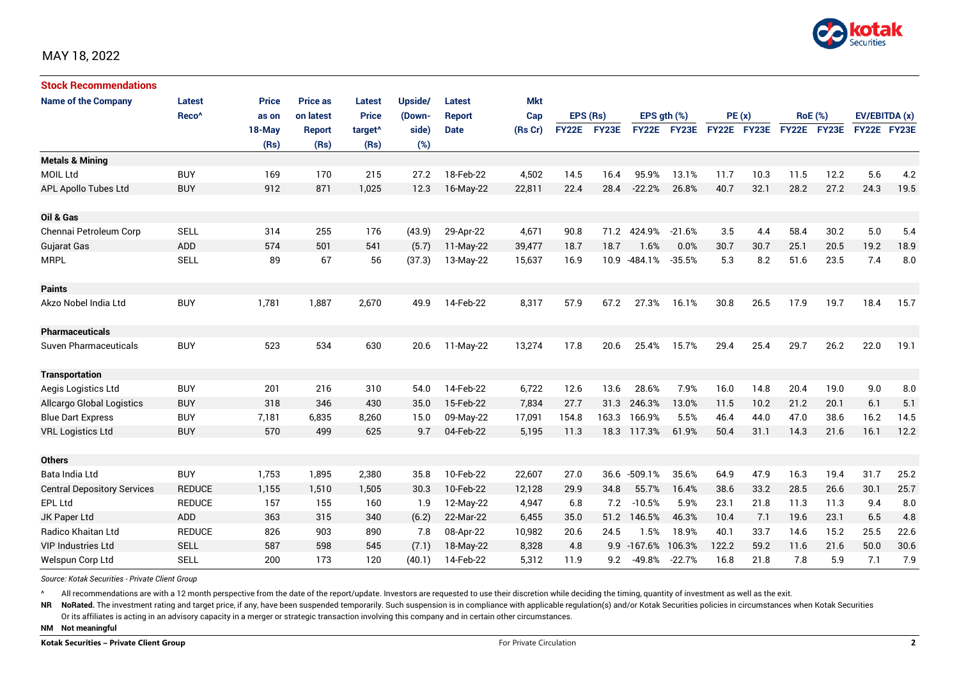

| <b>Stock Recommendations</b>       |                   |              |               |                     |         |               |            |              |       |             |                  |             |       |                |      |               |      |
|------------------------------------|-------------------|--------------|---------------|---------------------|---------|---------------|------------|--------------|-------|-------------|------------------|-------------|-------|----------------|------|---------------|------|
| <b>Name of the Company</b>         | <b>Latest</b>     | <b>Price</b> | Price as      | <b>Latest</b>       | Upside/ | Latest        | <b>Mkt</b> |              |       |             |                  |             |       |                |      |               |      |
|                                    | Reco <sup>^</sup> | as on        | on latest     | <b>Price</b>        | (Down-  | <b>Report</b> | Cap        | EPS (Rs)     |       |             | EPS $gth$ $(\%)$ |             | PE(x) | <b>RoE</b> (%) |      | EV/EBITDA (x) |      |
|                                    |                   | 18-May       | <b>Report</b> | target <sup>^</sup> | side)   | <b>Date</b>   | (Rs Cr)    | <b>FY22E</b> | FY23E |             | FY22E FY23E      | FY22E FY23E |       | FY22E FY23E    |      | FY22E FY23E   |      |
|                                    |                   | (Rs)         | (Rs)          | (Rs)                | (%)     |               |            |              |       |             |                  |             |       |                |      |               |      |
| <b>Metals &amp; Mining</b>         |                   |              |               |                     |         |               |            |              |       |             |                  |             |       |                |      |               |      |
| <b>MOIL Ltd</b>                    | <b>BUY</b>        | 169          | 170           | 215                 | 27.2    | 18-Feb-22     | 4,502      | 14.5         | 16.4  | 95.9%       | 13.1%            | 11.7        | 10.3  | 11.5           | 12.2 | 5.6           | 4.2  |
| APL Apollo Tubes Ltd               | <b>BUY</b>        | 912          | 871           | 1,025               | 12.3    | 16-May-22     | 22,811     | 22.4         | 28.4  | $-22.2%$    | 26.8%            | 40.7        | 32.1  | 28.2           | 27.2 | 24.3          | 19.5 |
| Oil & Gas                          |                   |              |               |                     |         |               |            |              |       |             |                  |             |       |                |      |               |      |
| Chennai Petroleum Corp             | <b>SELL</b>       | 314          | 255           | 176                 | (43.9)  | 29-Apr-22     | 4,671      | 90.8         | 71.2  | 424.9%      | $-21.6%$         | 3.5         | 4.4   | 58.4           | 30.2 | 5.0           | 5.4  |
| <b>Gujarat Gas</b>                 | ADD               | 574          | 501           | 541                 | (5.7)   | 11-May-22     | 39,477     | 18.7         | 18.7  | 1.6%        | 0.0%             | 30.7        | 30.7  | 25.1           | 20.5 | 19.2          | 18.9 |
| <b>MRPL</b>                        | <b>SELL</b>       | 89           | 67            | 56                  | (37.3)  | 13-May-22     | 15,637     | 16.9         | 10.9  | -484.1%     | $-35.5%$         | 5.3         | 8.2   | 51.6           | 23.5 | 7.4           | 8.0  |
| <b>Paints</b>                      |                   |              |               |                     |         |               |            |              |       |             |                  |             |       |                |      |               |      |
| Akzo Nobel India Ltd               | <b>BUY</b>        | 1,781        | 1,887         | 2,670               | 49.9    | 14-Feb-22     | 8,317      | 57.9         | 67.2  | 27.3%       | 16.1%            | 30.8        | 26.5  | 17.9           | 19.7 | 18.4          | 15.7 |
| <b>Pharmaceuticals</b>             |                   |              |               |                     |         |               |            |              |       |             |                  |             |       |                |      |               |      |
| <b>Suven Pharmaceuticals</b>       | <b>BUY</b>        | 523          | 534           | 630                 | 20.6    | 11-May-22     | 13,274     | 17.8         | 20.6  | 25.4%       | 15.7%            | 29.4        | 25.4  | 29.7           | 26.2 | 22.0          | 19.1 |
| <b>Transportation</b>              |                   |              |               |                     |         |               |            |              |       |             |                  |             |       |                |      |               |      |
| Aegis Logistics Ltd                | <b>BUY</b>        | 201          | 216           | 310                 | 54.0    | 14-Feb-22     | 6,722      | 12.6         | 13.6  | 28.6%       | 7.9%             | 16.0        | 14.8  | 20.4           | 19.0 | 9.0           | 8.0  |
| Allcargo Global Logistics          | <b>BUY</b>        | 318          | 346           | 430                 | 35.0    | 15-Feb-22     | 7,834      | 27.7         | 31.3  | 246.3%      | 13.0%            | 11.5        | 10.2  | 21.2           | 20.1 | 6.1           | 5.1  |
| <b>Blue Dart Express</b>           | <b>BUY</b>        | 7,181        | 6,835         | 8,260               | 15.0    | 09-May-22     | 17,091     | 154.8        | 163.3 | 166.9%      | 5.5%             | 46.4        | 44.0  | 47.0           | 38.6 | 16.2          | 14.5 |
| <b>VRL Logistics Ltd</b>           | <b>BUY</b>        | 570          | 499           | 625                 | 9.7     | 04-Feb-22     | 5,195      | 11.3         | 18.3  | 117.3%      | 61.9%            | 50.4        | 31.1  | 14.3           | 21.6 | 16.1          | 12.2 |
| <b>Others</b>                      |                   |              |               |                     |         |               |            |              |       |             |                  |             |       |                |      |               |      |
| Bata India Ltd                     | <b>BUY</b>        | 1,753        | 1,895         | 2,380               | 35.8    | 10-Feb-22     | 22,607     | 27.0         | 36.6  | $-509.1%$   | 35.6%            | 64.9        | 47.9  | 16.3           | 19.4 | 31.7          | 25.2 |
| <b>Central Depository Services</b> | <b>REDUCE</b>     | 1,155        | 1,510         | 1,505               | 30.3    | 10-Feb-22     | 12,128     | 29.9         | 34.8  | 55.7%       | 16.4%            | 38.6        | 33.2  | 28.5           | 26.6 | 30.1          | 25.7 |
| EPL Ltd                            | <b>REDUCE</b>     | 157          | 155           | 160                 | 1.9     | 12-May-22     | 4,947      | 6.8          | 7.2   | $-10.5%$    | 5.9%             | 23.1        | 21.8  | 11.3           | 11.3 | 9.4           | 8.0  |
| JK Paper Ltd                       | ADD               | 363          | 315           | 340                 | (6.2)   | 22-Mar-22     | 6,455      | 35.0         | 51.2  | 146.5%      | 46.3%            | 10.4        | 7.1   | 19.6           | 23.1 | 6.5           | 4.8  |
| Radico Khaitan Ltd                 | <b>REDUCE</b>     | 826          | 903           | 890                 | 7.8     | 08-Apr-22     | 10,982     | 20.6         | 24.5  | 1.5%        | 18.9%            | 40.1        | 33.7  | 14.6           | 15.2 | 25.5          | 22.6 |
| <b>VIP Industries Ltd</b>          | <b>SELL</b>       | 587          | 598           | 545                 | (7.1)   | 18-May-22     | 8,328      | 4.8          |       | 9.9 -167.6% | 106.3%           | 122.2       | 59.2  | 11.6           | 21.6 | 50.0          | 30.6 |
| Welspun Corp Ltd                   | <b>SELL</b>       | 200          | 173           | 120                 | (40.1)  | 14-Feb-22     | 5,312      | 11.9         | 9.2   | -49.8%      | $-22.7%$         | 16.8        | 21.8  | 7.8            | 5.9  | 7.1           | 7.9  |

*Source: Kotak Securities - Private Client Group*

All recommendations are with a 12 month perspective from the date of the report/update. Investors are requested to use their discretion while deciding the timing, quantity of investment as well as the exit.

NR NoRated. The investment rating and target price, if any, have been suspended temporarily. Such suspension is in compliance with applicable regulation(s) and/or Kotak Securities policies in circumstances when Kotak Secur

Or its affiliates is acting in an advisory capacity in a merger or strategic transaction involving this company and in certain other circumstances.

**NM Not meaningful**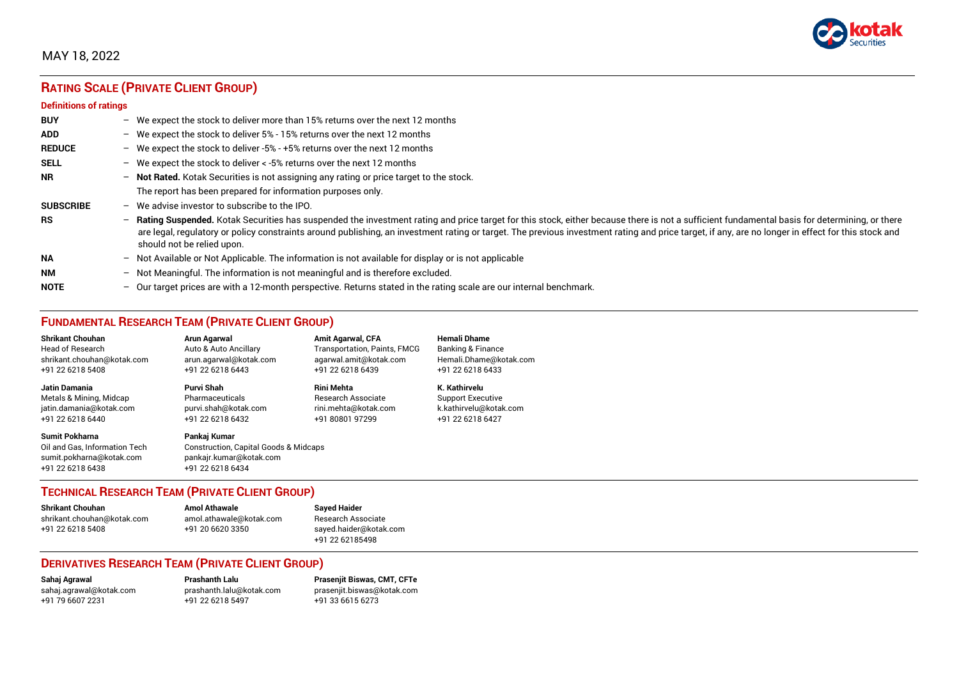

## **RATING SCALE (PRIVATE CLIENT GROUP)**

#### **Definitions of ratings**

| <b>BUY</b>       | $-$               | We expect the stock to deliver more than 15% returns over the next 12 months                                                                                                                                                                                                                                                                                                                                                     |
|------------------|-------------------|----------------------------------------------------------------------------------------------------------------------------------------------------------------------------------------------------------------------------------------------------------------------------------------------------------------------------------------------------------------------------------------------------------------------------------|
| <b>ADD</b>       |                   | - We expect the stock to deliver $5\%$ - 15% returns over the next 12 months                                                                                                                                                                                                                                                                                                                                                     |
| <b>REDUCE</b>    | $-$               | We expect the stock to deliver -5% - +5% returns over the next 12 months                                                                                                                                                                                                                                                                                                                                                         |
| <b>SELL</b>      |                   | - We expect the stock to deliver $\lt$ -5% returns over the next 12 months                                                                                                                                                                                                                                                                                                                                                       |
| <b>NR</b>        |                   | - Not Rated. Kotak Securities is not assigning any rating or price target to the stock.                                                                                                                                                                                                                                                                                                                                          |
|                  |                   | The report has been prepared for information purposes only.                                                                                                                                                                                                                                                                                                                                                                      |
| <b>SUBSCRIBE</b> | $-$               | We advise investor to subscribe to the IPO.                                                                                                                                                                                                                                                                                                                                                                                      |
| <b>RS</b>        | $\qquad \qquad -$ | Rating Suspended. Kotak Securities has suspended the investment rating and price target for this stock, either because there is not a sufficient fundamental basis for determining, or there<br>are legal, regulatory or policy constraints around publishing, an investment rating or target. The previous investment rating and price target, if any, are no longer in effect for this stock and<br>should not be relied upon. |
| <b>NA</b>        |                   | $-$ Not Available or Not Applicable. The information is not available for display or is not applicable                                                                                                                                                                                                                                                                                                                           |
| <b>NM</b>        |                   | - Not Meaningful. The information is not meaningful and is therefore excluded.                                                                                                                                                                                                                                                                                                                                                   |
| <b>NOTE</b>      | -                 | Our target prices are with a 12-month perspective. Returns stated in the rating scale are our internal benchmark.                                                                                                                                                                                                                                                                                                                |

## **FUNDAMENTAL RESEARCH TEAM (PRIVATE CLIENT GROUP)**

| <b>Shrikant Chouhan</b>                                                                                | <b>Arun Agarwal</b>                                                                                  | <b>Amit Agarwal, CFA</b>            | <b>Hemali Dhame</b>      |
|--------------------------------------------------------------------------------------------------------|------------------------------------------------------------------------------------------------------|-------------------------------------|--------------------------|
| <b>Head of Research</b>                                                                                | Auto & Auto Ancillary                                                                                | <b>Transportation, Paints, FMCG</b> | Banking & Finance        |
| shrikant.chouhan@kotak.com                                                                             | arun.agarwal@kotak.com                                                                               | agarwal.amit@kotak.com              | Hemali.Dhame@kotak.com   |
| +91 22 6218 5408                                                                                       | +91 22 6218 6443                                                                                     | +91 22 6218 6439                    | +91 22 6218 6433         |
| <b>Jatin Damania</b>                                                                                   | Purvi Shah                                                                                           | <b>Rini Mehta</b>                   | K. Kathirvelu            |
| Metals & Mining, Midcap                                                                                | Pharmaceuticals                                                                                      | <b>Research Associate</b>           | <b>Support Executive</b> |
| jatin.damania@kotak.com                                                                                | purvi.shah@kotak.com                                                                                 | rini.mehta@kotak.com                | k.kathirvelu@kotak.com   |
| +91 22 6218 6440                                                                                       | +91 22 6218 6432                                                                                     | +91 80801 97299                     | +91 22 6218 6427         |
| <b>Sumit Pokharna</b><br>Oil and Gas, Information Tech<br>sumit.pokharna@kotak.com<br>+91 22 6218 6438 | Pankaj Kumar<br>Construction, Capital Goods & Midcaps<br>pankajr.kumar@kotak.com<br>+91 22 6218 6434 |                                     |                          |

### **TECHNICAL RESEARCH TEAM (PRIVATE CLIENT GROUP)**

| <b>Shrikant Chouhan</b>    | <b>Amol Athawale</b>    | s |
|----------------------------|-------------------------|---|
| shrikant.chouhan@kotak.com | amol.athawale@kotak.com | R |
| +91 22 6218 5408           | +91 20 6620 3350        | s |
|                            |                         |   |

#### **Shrikant Chouhan Amol Athawale Sayed Haider** Research Associate [sayed.haider@kotak.com](mailto:sayed.haider@kotak.com) +91 22 62185498

### **DERIVATIVES RESEARCH TEAM (PRIVATE CLIENT GROUP)**

[sahaj.agrawal@kotak.com](mailto:sahaj.agrawal@kotak.com) [prashanth.lalu@kotak.com](mailto:prashanth.lalu@kotak.com) [prasenjit.biswas@kotak.com](mailto:prasenjit.biswas@kotak.com) +91 22 6218 5497 +91 33 6615 6273

**Sahaj Agrawal Prashanth Lalu Prasenjit Biswas, CMT, CFTe**